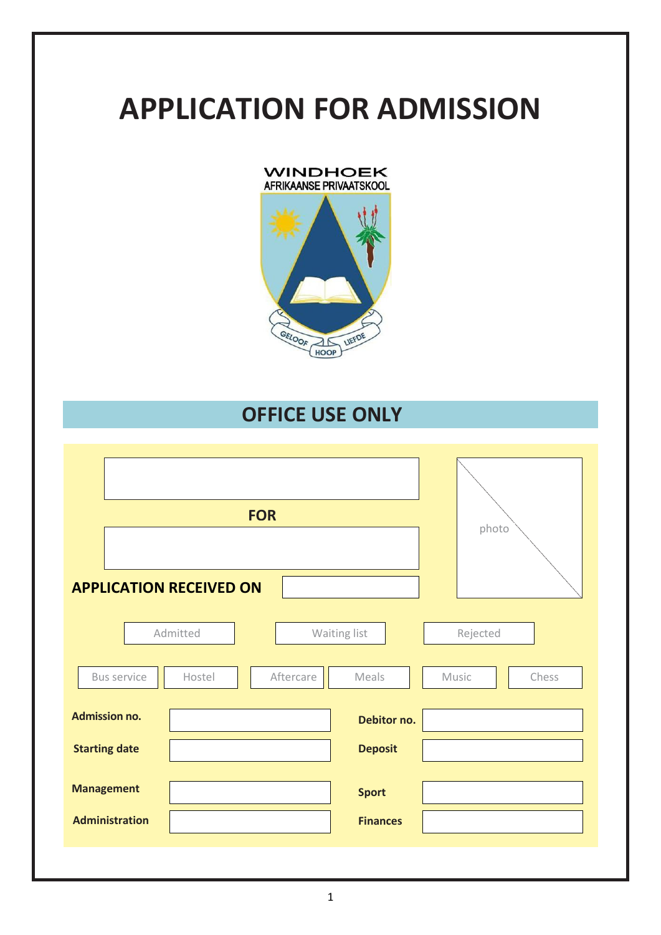# **APPLICATION FOR ADMISSION**



# **OFFICE USE ONLY**

| <b>FOR</b>                                 | photo                           |  |
|--------------------------------------------|---------------------------------|--|
| <b>APPLICATION RECEIVED ON</b><br>Admitted | Waiting list<br>Rejected        |  |
| <b>Bus service</b><br>Aftercare<br>Hostel  | Meals<br>Chess<br>Music         |  |
| <b>Admission no.</b>                       | Debitor no.                     |  |
| <b>Starting date</b>                       | <b>Deposit</b>                  |  |
| <b>Management</b><br><b>Administration</b> | <b>Sport</b><br><b>Finances</b> |  |
|                                            |                                 |  |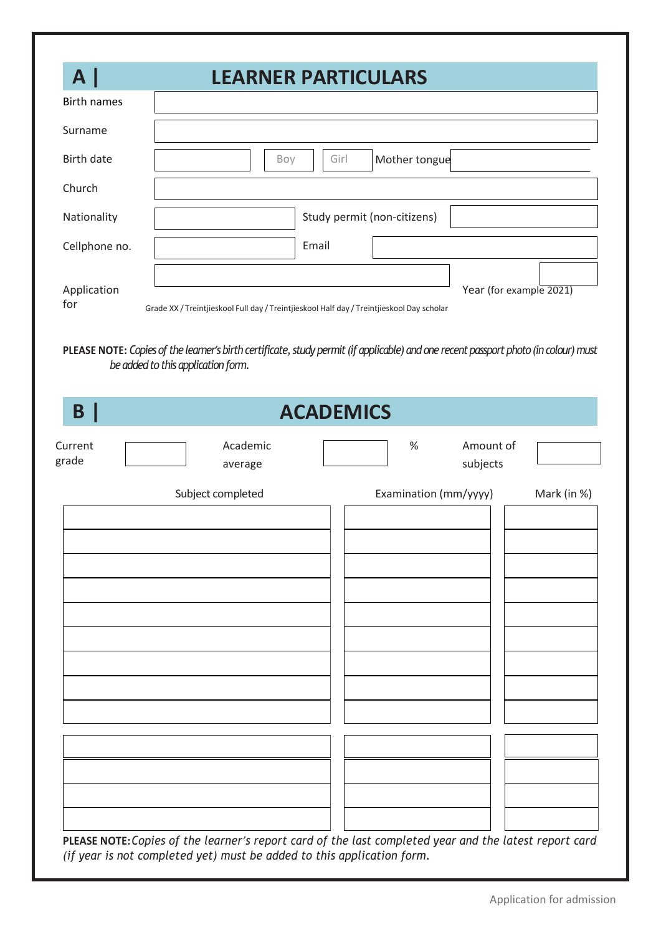| A.                 |                                                                                                                                                                           | <b>LEARNER PARTICULARS</b>  |                       |                         |
|--------------------|---------------------------------------------------------------------------------------------------------------------------------------------------------------------------|-----------------------------|-----------------------|-------------------------|
| <b>Birth names</b> |                                                                                                                                                                           |                             |                       |                         |
| Surname            |                                                                                                                                                                           |                             |                       |                         |
| <b>Birth date</b>  | Boy                                                                                                                                                                       | Girl                        | Mother tongue         |                         |
| Church             |                                                                                                                                                                           |                             |                       |                         |
| Nationality        |                                                                                                                                                                           | Study permit (non-citizens) |                       |                         |
| Cellphone no.      |                                                                                                                                                                           | Email                       |                       |                         |
| Application<br>for | Grade XX / Treintjieskool Full day / Treintjieskool Half day / Treintjieskool Day scholar                                                                                 |                             |                       | Year (for example 2021) |
|                    | PLEASE NOTE: Copies of the learner's birth certificate, study permit (if applicable) and one recent passport photo (in colour) must<br>be added to this application form. |                             |                       |                         |
| B                  |                                                                                                                                                                           | <b>ACADEMICS</b>            |                       |                         |
| Current<br>grade   | Academic<br>average                                                                                                                                                       |                             | $\%$<br>subjects      | Amount of               |
|                    | Subject completed                                                                                                                                                         |                             | Examination (mm/yyyy) | Mark (in %)             |
|                    |                                                                                                                                                                           |                             |                       |                         |
|                    |                                                                                                                                                                           |                             |                       |                         |
|                    |                                                                                                                                                                           |                             |                       |                         |
|                    |                                                                                                                                                                           |                             |                       |                         |
|                    |                                                                                                                                                                           |                             |                       |                         |
|                    |                                                                                                                                                                           |                             |                       |                         |
|                    |                                                                                                                                                                           |                             |                       |                         |
|                    |                                                                                                                                                                           |                             |                       |                         |
|                    |                                                                                                                                                                           |                             |                       |                         |
|                    |                                                                                                                                                                           |                             |                       |                         |
|                    |                                                                                                                                                                           |                             |                       |                         |

*(if year is not completed yet) must be added to this application form.*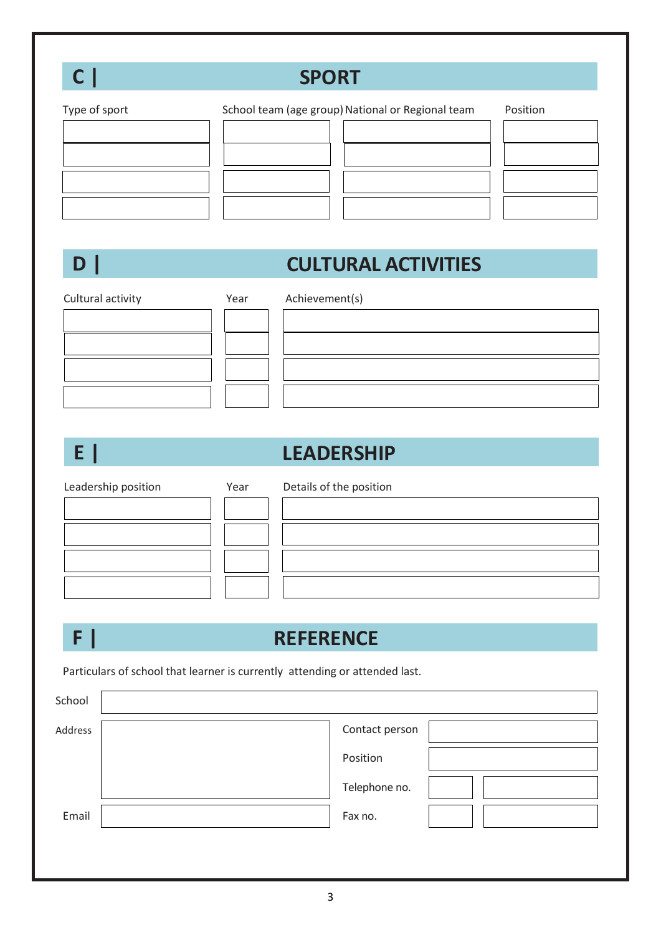| $\mathsf{C}\,$ $\mathsf{I}\,$ |                                                                             | <b>SPORT</b>                                      |          |
|-------------------------------|-----------------------------------------------------------------------------|---------------------------------------------------|----------|
| Type of sport                 |                                                                             | School team (age group) National or Regional team | Position |
| $D \mid$                      |                                                                             | <b>CULTURAL ACTIVITIES</b>                        |          |
| Cultural activity             | Year                                                                        | Achievement(s)                                    |          |
| E                             |                                                                             | <b>LEADERSHIP</b>                                 |          |
| Leadership position           | Year                                                                        | Details of the position                           |          |
| F                             |                                                                             | <b>REFERENCE</b>                                  |          |
|                               | Particulars of school that learner is currently attending or attended last. |                                                   |          |
| School                        |                                                                             |                                                   |          |
| Address                       |                                                                             | Contact person<br>Position<br>Telephone no.       |          |

Email **Fax no.** 

3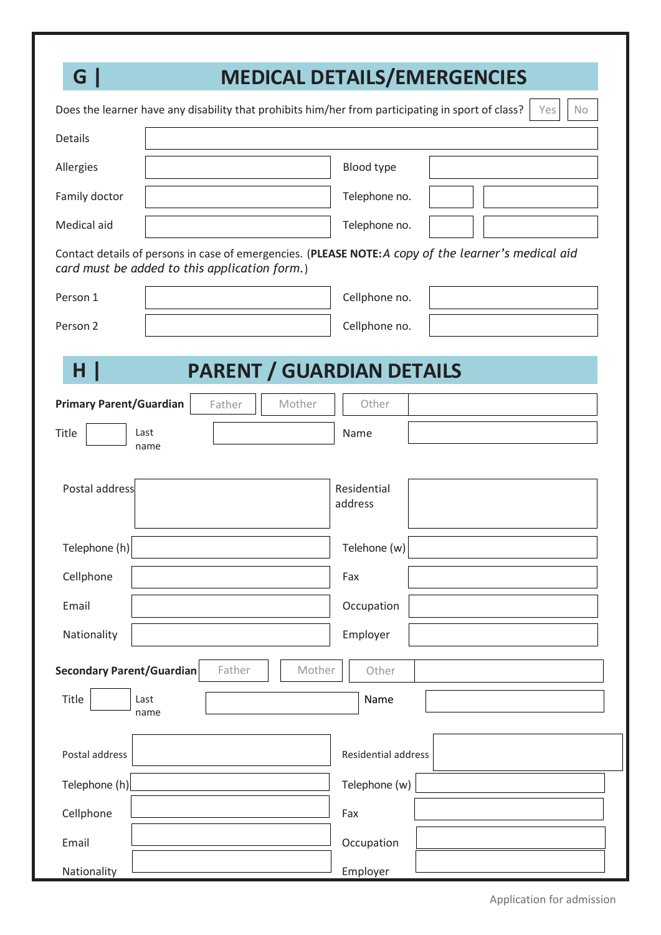| G                                             | <b>MEDICAL DETAILS/EMERGENCIES</b>                                                                |                        |                                                                                                      |
|-----------------------------------------------|---------------------------------------------------------------------------------------------------|------------------------|------------------------------------------------------------------------------------------------------|
|                                               | Does the learner have any disability that prohibits him/her from participating in sport of class? |                        | Yes<br><b>No</b>                                                                                     |
| Details                                       |                                                                                                   |                        |                                                                                                      |
| Allergies                                     |                                                                                                   | Blood type             |                                                                                                      |
| Family doctor                                 |                                                                                                   | Telephone no.          |                                                                                                      |
| Medical aid                                   |                                                                                                   | Telephone no.          |                                                                                                      |
| card must be added to this application form.) |                                                                                                   |                        | Contact details of persons in case of emergencies. (PLEASE NOTE: A copy of the learner's medical aid |
| Person 1                                      |                                                                                                   | Cellphone no.          |                                                                                                      |
| Person 2                                      |                                                                                                   | Cellphone no.          |                                                                                                      |
| Title<br>Last<br>name                         |                                                                                                   | Name                   |                                                                                                      |
|                                               |                                                                                                   |                        |                                                                                                      |
| Postal address                                |                                                                                                   | Residential<br>address |                                                                                                      |
| Telephone (h)                                 |                                                                                                   | Telehone (w)           |                                                                                                      |
| Cellphone                                     |                                                                                                   | Fax                    |                                                                                                      |
| Email                                         |                                                                                                   | Occupation             |                                                                                                      |
| Nationality                                   |                                                                                                   | Employer               |                                                                                                      |
| <b>Secondary Parent/Guardian</b>              | Father<br>Mother                                                                                  | Other                  |                                                                                                      |
| Title<br>Last<br>name                         |                                                                                                   | Name                   |                                                                                                      |
| Postal address                                |                                                                                                   | Residential address    |                                                                                                      |
| Telephone (h)                                 |                                                                                                   | Telephone (w)          |                                                                                                      |
| Cellphone                                     |                                                                                                   | Fax                    |                                                                                                      |
| Email                                         |                                                                                                   | Occupation             |                                                                                                      |
| Nationality                                   |                                                                                                   | Employer               |                                                                                                      |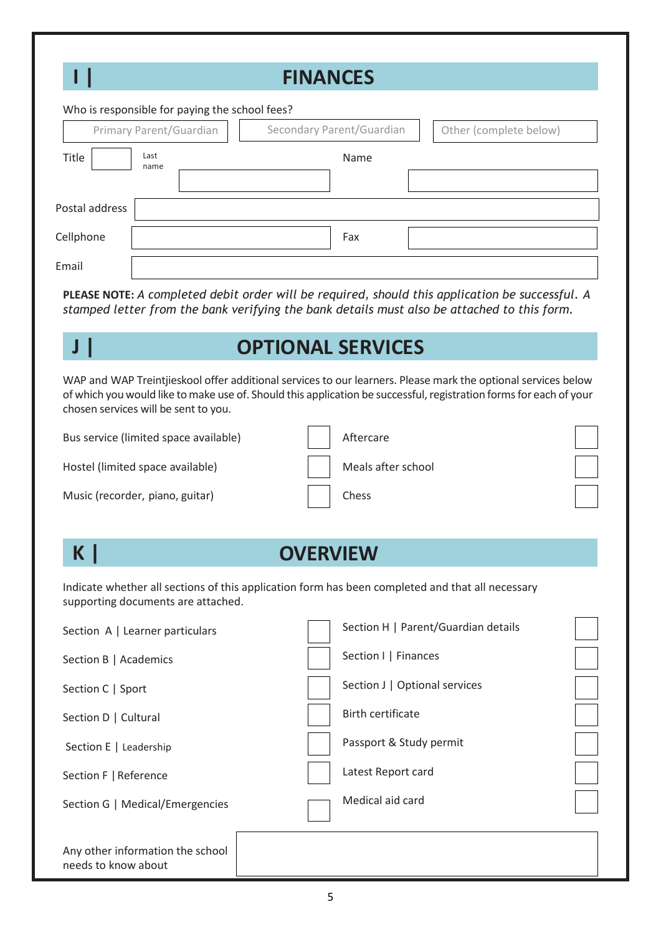|                | <b>FINANCES</b>                                |                           |                        |  |  |
|----------------|------------------------------------------------|---------------------------|------------------------|--|--|
|                | Who is responsible for paying the school fees? |                           |                        |  |  |
|                | Primary Parent/Guardian                        | Secondary Parent/Guardian | Other (complete below) |  |  |
| Title          | Last<br>name                                   | Name                      |                        |  |  |
| Postal address |                                                |                           |                        |  |  |
| Cellphone      |                                                | Fax                       |                        |  |  |
| Email          |                                                |                           |                        |  |  |

**PLEASE NOTE:** *A completed debit order will be required, should this application be successful. A stamped letter from the bank verifying the bank details must also be attached to this form.*

# **J | OPTIONAL SERVICES**

WAP and WAP Treintjieskool offer additional services to our learners. Please mark the optional services below of which you would like to make use of. Should this application be successful, registration forms for each of your chosen services will be sent to you.

Bus service (limited space available)

Hostel (limited space available)

Music (recorder, piano, guitar)

| Aftercare          |
|--------------------|
| Meals after school |
| Chess              |

| <b>Service Service</b><br>and the state of the state of the state of the state of the state of the state of the state of the state of th |
|------------------------------------------------------------------------------------------------------------------------------------------|
|------------------------------------------------------------------------------------------------------------------------------------------|

### **K | OVERVIEW**

Indicate whether all sections of this application form has been completed and that all necessary supporting documents are attached.

| Section A   Learner particulars                         | Section H   Parent/Guardian details |  |
|---------------------------------------------------------|-------------------------------------|--|
| Section B   Academics                                   | Section I   Finances                |  |
| Section C   Sport                                       | Section J   Optional services       |  |
| Section D   Cultural                                    | <b>Birth certificate</b>            |  |
| Section E   Leadership                                  | Passport & Study permit             |  |
| Section F   Reference                                   | Latest Report card                  |  |
| Section G   Medical/Emergencies                         | Medical aid card                    |  |
| Any other information the school<br>needs to know about |                                     |  |